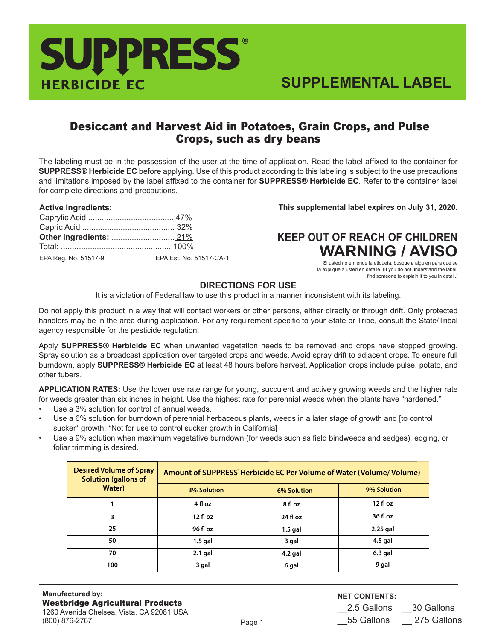# HERBICIDE EC **SUPPRESS®**

## Desiccant and Harvest Aid in Potatoes, Grain Crops, and Pulse Crops, such as dry beans

The labeling must be in the possession of the user at the time of application. Read the label affixed to the container for **SUPPRESS® Herbicide EC** before applying. Use of this product according to this labeling is subject to the use precautions and limitations imposed by the label affixed to the container for **SUPPRESS® Herbicide EC**. Refer to the container label for complete directions and precautions.

#### **Active Ingredients:**

| EPA Reg. No. 51517-9 | EPA Est. No. 51517-CA-1 |
|----------------------|-------------------------|

**This supplemental label expires on July 31, 2020.**

## **KEEP OUT OF REACH OF CHILDREN WARNING / AVISO**

Si usted no entiende la etiqueta, busque a alguien para que se la explique a usted en detaile. (If you do not understand the label, find someone to explain it to you in detail.)

## **DIRECTIONS FOR USE**

It is a violation of Federal law to use this product in a manner inconsistent with its labeling.

Do not apply this product in a way that will contact workers or other persons, either directly or through drift. Only protected handlers may be in the area during application. For any requirement specific to your State or Tribe, consult the State/Tribal agency responsible for the pesticide regulation.

Apply **SUPPRESS® Herbicide EC** when unwanted vegetation needs to be removed and crops have stopped growing. Spray solution as a broadcast application over targeted crops and weeds. Avoid spray drift to adjacent crops. To ensure full burndown, apply **SUPPRESS® Herbicide EC** at least 48 hours before harvest. Application crops include pulse, potato, and other tubers.

**APPLICATION RATES:** Use the lower use rate range for young, succulent and actively growing weeds and the higher rate for weeds greater than six inches in height. Use the highest rate for perennial weeds when the plants have "hardened."

- Use a 3% solution for control of annual weeds.
- Use a 6% solution for burndown of perennial herbaceous plants, weeds in a later stage of growth and [to control sucker\* growth. \*Not for use to control sucker growth in California]
- Use a 9% solution when maximum vegetative burndown (for weeds such as field bindweeds and sedges), edging, or foliar trimming is desired.

| <b>Desired Volume of Spray</b><br><b>Solution (gallons of</b> | Amount of SUPPRESS' Herbicide EC Per Volume of Water (Volume/Volume) |                    |             |
|---------------------------------------------------------------|----------------------------------------------------------------------|--------------------|-------------|
| Water)                                                        | <b>3% Solution</b>                                                   | <b>6% Solution</b> | 9% Solution |
|                                                               | 4 fl oz                                                              | 8 fl oz            | $12f$ l oz  |
| 3                                                             | $12f$ loz                                                            | $24f$ l oz         | 36 fl oz    |
| 25                                                            | 96 fl oz                                                             | $1.5$ gal          | 2.25 gal    |
| 50                                                            | $1.5$ gal                                                            | 3 gal              | $4.5$ gal   |
| 70                                                            | $2.1$ gal                                                            | $4.2$ gal          | $6.3$ gal   |
| 100                                                           | 3 gal                                                                | 6 gal              | 9 gal       |

## **NET CONTENTS:**

\_\_2.5 Gallons \_\_30 Gallons \_\_55 Gallons \_\_ 275 Gallons